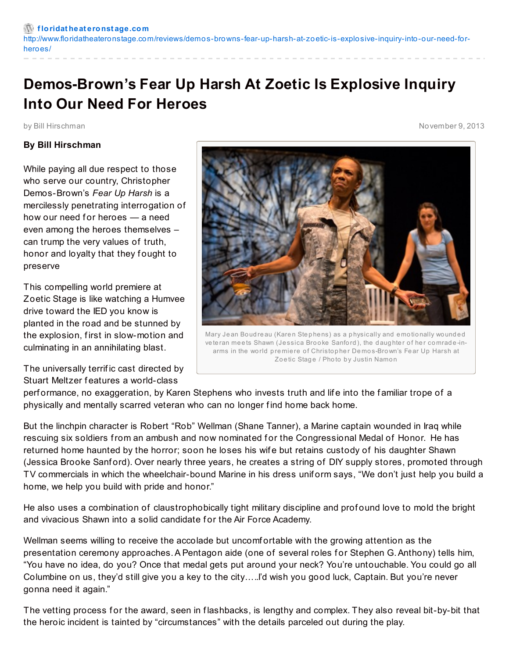## **Demos-Brown's Fear Up Harsh At Zoetic Is Explosive Inquiry Into Our Need For Heroes**

## **By Bill Hirschman**

While paying all due respect to those who serve our country, Christopher Demos-Brown's *Fear Up Harsh* is a mercilessly penetrating interrogation of how our need for heroes  $-$  a need even among the heroes themselves – can trump the very values of truth, honor and loyalty that they fought to preserve

This compelling world premiere at Zoetic Stage is like watching a Humvee drive toward the IED you know is planted in the road and be stunned by the explosion, f irst in slow-motion and culminating in an annihilating blast.

The universally terrif ic cast directed by Stuart Meltzer f eatures a world-class



Mary Jean Boudreau (Karen Stephens) as a physically and emotionally wounded veteran meets Shawn (Jessica Brooke Sanford), the daughter of her comrade-inarms in the world premiere of Christopher Demos-Brown's Fear Up Harsh at Zoetic Stage / Photo by Justin Namon

performance, no exaggeration, by Karen Stephens who invests truth and life into the familiar trope of a physically and mentally scarred veteran who can no longer f ind home back home.

But the linchpin character is Robert "Rob" Wellman (Shane Tanner), a Marine captain wounded in Iraq while rescuing six soldiers from an ambush and now nominated for the Congressional Medal of Honor. He has returned home haunted by the horror; soon he loses his wife but retains custody of his daughter Shawn (Jessica Brooke Sanf ord). Over nearly three years, he creates a string of DIY supply stores, promoted through TV commercials in which the wheelchair-bound Marine in his dress unif orm says, "We don't just help you build a home, we help you build with pride and honor."

He also uses a combination of claustrophobically tight military discipline and prof ound love to mold the bright and vivacious Shawn into a solid candidate for the Air Force Academy.

Wellman seems willing to receive the accolade but uncomf ortable with the growing attention as the presentation ceremony approaches. A Pentagon aide (one of several roles for Stephen G. Anthony) tells him, "You have no idea, do you? Once that medal gets put around your neck? You're untouchable. You could go all Columbine on us, they'd still give you a key to the city…..I'd wish you good luck, Captain. But you're never gonna need it again."

The vetting process for the award, seen in flashbacks, is lengthy and complex. They also reveal bit-by-bit that the heroic incident is tainted by "circumstances" with the details parceled out during the play.

by Bill Hirschman November 9, 2013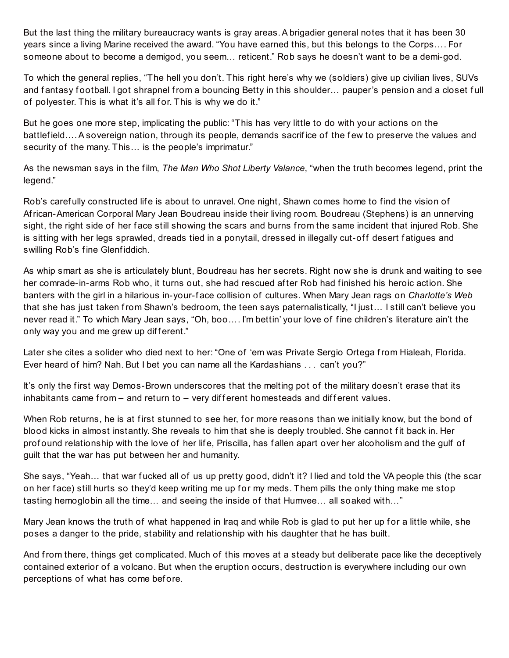But the last thing the military bureaucracy wants is gray areas.A brigadier general notes that it has been 30 years since a living Marine received the award. "You have earned this, but this belongs to the Corps…. For someone about to become a demigod, you seem… reticent." Rob says he doesn't want to be a demi-god.

To which the general replies, "The hell you don't. This right here's why we (soldiers) give up civilian lives, SUVs and fantasy football. I got shrapnel from a bouncing Betty in this shoulder... pauper's pension and a closet full of polyester. This is what it's all for. This is why we do it."

But he goes one more step, implicating the public: "This has very little to do with your actions on the battlefield....A sovereign nation, through its people, demands sacrifice of the few to preserve the values and security of the many. This… is the people's imprimatur."

As the newsman says in the f ilm, *The Man Who Shot Liberty Valance*, "when the truth becomes legend, print the legend."

Rob's carefully constructed life is about to unravel. One night, Shawn comes home to find the vision of African-American Corporal Mary Jean Boudreau inside their living room. Boudreau (Stephens) is an unnerving sight, the right side of her face still showing the scars and burns from the same incident that injured Rob. She is sitting with her legs sprawled, dreads tied in a ponytail, dressed in illegally cut-off desert fatigues and swilling Rob's f ine Glenf iddich.

As whip smart as she is articulately blunt, Boudreau has her secrets. Right now she is drunk and waiting to see her comrade-in-arms Rob who, it turns out, she had rescued af ter Rob had f inished his heroic action. She banters with the girl in a hilarious in-your-f ace collision of cultures. When Mary Jean rags on *Charlotte's Web* that she has just taken from Shawn's bedroom, the teen says paternalistically, "I just… I still can't believe you never read it." To which Mary Jean says, "Oh, boo…. I'm bettin' your love of f ine children's literature ain't the only way you and me grew up different."

Later she cites a solider who died next to her: "One of 'em was Private Sergio Ortega from Hialeah, Florida. Ever heard of him? Nah. But I bet you can name all the Kardashians . . . can't you?"

It's only the first way Demos-Brown underscores that the melting pot of the military doesn't erase that its inhabitants came from  $-$  and return to  $-$  very different homesteads and different values.

When Rob returns, he is at first stunned to see her, for more reasons than we initially know, but the bond of blood kicks in almost instantly. She reveals to him that she is deeply troubled. She cannot fit back in. Her prof ound relationship with the love of her life, Priscilla, has fallen apart over her alcoholism and the gulf of guilt that the war has put between her and humanity.

She says, "Yeah... that war fucked all of us up pretty good, didn't it? I lied and told the VA people this (the scar on her face) still hurts so they'd keep writing me up for my meds. Them pills the only thing make me stop tasting hemoglobin all the time… and seeing the inside of that Humvee… all soaked with…"

Mary Jean knows the truth of what happened in Iraq and while Rob is glad to put her up for a little while, she poses a danger to the pride, stability and relationship with his daughter that he has built.

And from there, things get complicated. Much of this moves at a steady but deliberate pace like the deceptively contained exterior of a volcano. But when the eruption occurs, destruction is everywhere including our own perceptions of what has come before.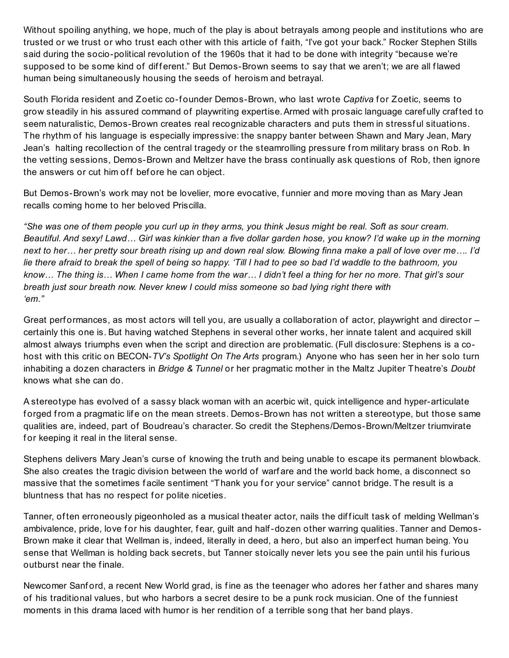Without spoiling anything, we hope, much of the play is about betrayals among people and institutions who are trusted or we trust or who trust each other with this article of f aith, "I've got your back." Rocker Stephen Stills said during the socio-political revolution of the 1960s that it had to be done with integrity "because we're supposed to be some kind of different." But Demos-Brown seems to say that we aren't; we are all flawed human being simultaneously housing the seeds of heroism and betrayal.

South Florida resident and Zoetic co-f ounder Demos-Brown, who last wrote *Captiva* f or Zoetic, seems to grow steadily in his assured command of playwriting expertise.Armed with prosaic language caref ully craf ted to seem naturalistic, Demos-Brown creates real recognizable characters and puts them in stressful situations. The rhythm of his language is especially impressive: the snappy banter between Shawn and Mary Jean, Mary Jean's halting recollection of the central tragedy or the steamrolling pressure from military brass on Rob. In the vetting sessions, Demos-Brown and Meltzer have the brass continually ask questions of Rob, then ignore the answers or cut him off before he can object.

But Demos-Brown's work may not be lovelier, more evocative, f unnier and more moving than as Mary Jean recalls coming home to her beloved Priscilla.

"She was one of them people you curl up in they arms, you think Jesus might be real. Soft as sour cream. Beautiful. And sexy! Lawd... Girl was kinkier than a five dollar garden hose, you know? I'd wake up in the morning next to her... her pretty sour breath rising up and down real slow. Blowing finna make a pall of love over me.... I'd lie there afraid to break the spell of being so happy. 'Till I had to pee so bad I'd waddle to the bathroom, you know... The thing is... When I came home from the war... I didn't feel a thing for her no more. That girl's sour *breath just sour breath now. Never knew I could miss someone so bad lying right there with 'em."*

Great performances, as most actors will tell you, are usually a collaboration of actor, playwright and director – certainly this one is. But having watched Stephens in several other works, her innate talent and acquired skill almost always triumphs even when the script and direction are problematic. (Full disclosure: Stephens is a cohost with this critic on BECON-*TV's Spotlight On The Arts* program.) Anyone who has seen her in her solo turn inhabiting a dozen characters in *Bridge & Tunnel* or her pragmatic mother in the Maltz Jupiter Theatre's *Doubt* knows what she can do.

A stereotype has evolved of a sassy black woman with an acerbic wit, quick intelligence and hyper-articulate forged from a pragmatic life on the mean streets. Demos-Brown has not written a stereotype, but those same qualities are, indeed, part of Boudreau's character. So credit the Stephens/Demos-Brown/Meltzer triumvirate for keeping it real in the literal sense.

Stephens delivers Mary Jean's curse of knowing the truth and being unable to escape its permanent blowback. She also creates the tragic division between the world of warf are and the world back home, a disconnect so massive that the sometimes facile sentiment "Thank you for your service" cannot bridge. The result is a bluntness that has no respect for polite niceties.

Tanner, often erroneously pigeonholed as a musical theater actor, nails the difficult task of melding Wellman's ambivalence, pride, love for his daughter, fear, guilt and half-dozen other warring qualities. Tanner and Demos-Brown make it clear that Wellman is, indeed, literally in deed, a hero, but also an imperf ect human being. You sense that Wellman is holding back secrets, but Tanner stoically never lets you see the pain until his f urious outburst near the finale.

Newcomer Sanford, a recent New World grad, is fine as the teenager who adores her father and shares many of his traditional values, but who harbors a secret desire to be a punk rock musician. One of the funniest moments in this drama laced with humor is her rendition of a terrible song that her band plays.